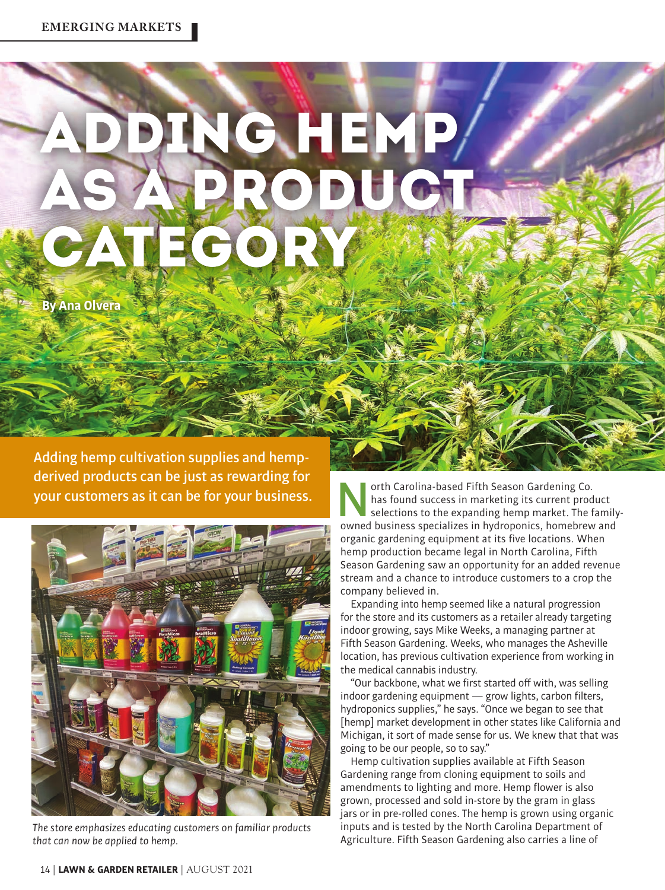## NG HEMP AS APRODUCT. CATEGORY

**By Ana Olvera**

Adding hemp cultivation supplies and hempderived products can be just as rewarding for your customers as it can be for your business.



*The store emphasizes educating customers on familiar products that can now be applied to hemp.* 

orth Carolina-based Fifth Season Gardening Co.<br>
selections to the expanding hemp market. The family-<br>
selections to the expanding hemp market. The family-<br>
selections specializes in hydroponics, homebrew and has found success in marketing its current product owned business specializes in hydroponics, homebrew and organic gardening equipment at its five locations. When hemp production became legal in North Carolina, Fifth Season Gardening saw an opportunity for an added revenue stream and a chance to introduce customers to a crop the company believed in.

Expanding into hemp seemed like a natural progression for the store and its customers as a retailer already targeting indoor growing, says Mike Weeks, a managing partner at Fifth Season Gardening. Weeks, who manages the Asheville location, has previous cultivation experience from working in the medical cannabis industry.

"Our backbone, what we first started off with, was selling indoor gardening equipment — grow lights, carbon filters, hydroponics supplies," he says. "Once we began to see that [hemp] market development in other states like California and Michigan, it sort of made sense for us. We knew that that was going to be our people, so to say."

Hemp cultivation supplies available at Fifth Season Gardening range from cloning equipment to soils and amendments to lighting and more. Hemp flower is also grown, processed and sold in-store by the gram in glass jars or in pre-rolled cones. The hemp is grown using organic inputs and is tested by the North Carolina Department of Agriculture. Fifth Season Gardening also carries a line of